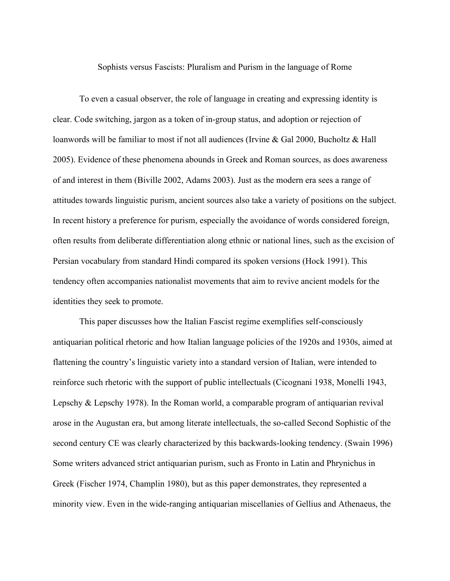Sophists versus Fascists: Pluralism and Purism in the language of Rome

To even a casual observer, the role of language in creating and expressing identity is clear. Code switching, jargon as a token of in-group status, and adoption or rejection of loanwords will be familiar to most if not all audiences (Irvine & Gal 2000, Bucholtz & Hall 2005). Evidence of these phenomena abounds in Greek and Roman sources, as does awareness of and interest in them (Biville 2002, Adams 2003). Just as the modern era sees a range of attitudes towards linguistic purism, ancient sources also take a variety of positions on the subject. In recent history a preference for purism, especially the avoidance of words considered foreign, often results from deliberate differentiation along ethnic or national lines, such as the excision of Persian vocabulary from standard Hindi compared its spoken versions (Hock 1991). This tendency often accompanies nationalist movements that aim to revive ancient models for the identities they seek to promote.

This paper discusses how the Italian Fascist regime exemplifies self-consciously antiquarian political rhetoric and how Italian language policies of the 1920s and 1930s, aimed at flattening the country's linguistic variety into a standard version of Italian, were intended to reinforce such rhetoric with the support of public intellectuals (Cicognani 1938, Monelli 1943, Lepschy & Lepschy 1978). In the Roman world, a comparable program of antiquarian revival arose in the Augustan era, but among literate intellectuals, the so-called Second Sophistic of the second century CE was clearly characterized by this backwards-looking tendency. (Swain 1996) Some writers advanced strict antiquarian purism, such as Fronto in Latin and Phrynichus in Greek (Fischer 1974, Champlin 1980), but as this paper demonstrates, they represented a minority view. Even in the wide-ranging antiquarian miscellanies of Gellius and Athenaeus, the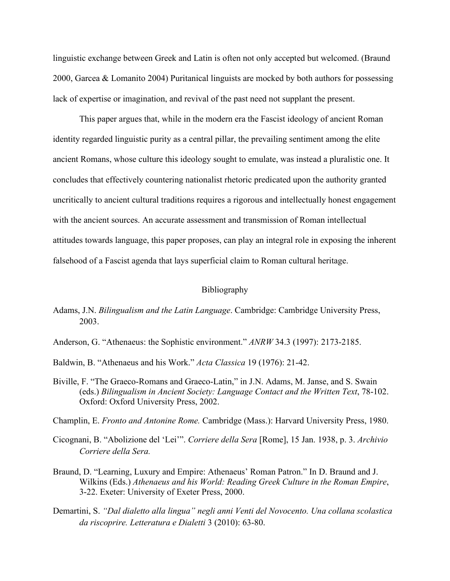linguistic exchange between Greek and Latin is often not only accepted but welcomed. (Braund 2000, Garcea & Lomanito 2004) Puritanical linguists are mocked by both authors for possessing lack of expertise or imagination, and revival of the past need not supplant the present.

This paper argues that, while in the modern era the Fascist ideology of ancient Roman identity regarded linguistic purity as a central pillar, the prevailing sentiment among the elite ancient Romans, whose culture this ideology sought to emulate, was instead a pluralistic one. It concludes that effectively countering nationalist rhetoric predicated upon the authority granted uncritically to ancient cultural traditions requires a rigorous and intellectually honest engagement with the ancient sources. An accurate assessment and transmission of Roman intellectual attitudes towards language, this paper proposes, can play an integral role in exposing the inherent falsehood of a Fascist agenda that lays superficial claim to Roman cultural heritage.

## Bibliography

- Adams, J.N. *Bilingualism and the Latin Language*. Cambridge: Cambridge University Press, 2003.
- Anderson, G. "Athenaeus: the Sophistic environment." *ANRW* 34.3 (1997): 2173-2185.
- Baldwin, B. "Athenaeus and his Work." *Acta Classica* 19 (1976): 21-42.
- Biville, F. "The Graeco-Romans and Graeco-Latin," in J.N. Adams, M. Janse, and S. Swain (eds.) *Bilingualism in Ancient Society: Language Contact and the Written Text*, 78-102. Oxford: Oxford University Press, 2002.

Champlin, E. *Fronto and Antonine Rome.* Cambridge (Mass.): Harvard University Press, 1980.

- Cicognani, B. "Abolizione del 'Lei'". *Corriere della Sera* [Rome], 15 Jan. 1938, p. 3. *Archivio Corriere della Sera.*
- Braund, D. "Learning, Luxury and Empire: Athenaeus' Roman Patron." In D. Braund and J. Wilkins (Eds.) *Athenaeus and his World: Reading Greek Culture in the Roman Empire*, 3-22. Exeter: University of Exeter Press, 2000.
- Demartini, S. *"Dal dialetto alla lingua" negli anni Venti del Novocento. Una collana scolastica da riscoprire. Letteratura e Dialetti* 3 (2010): 63-80.